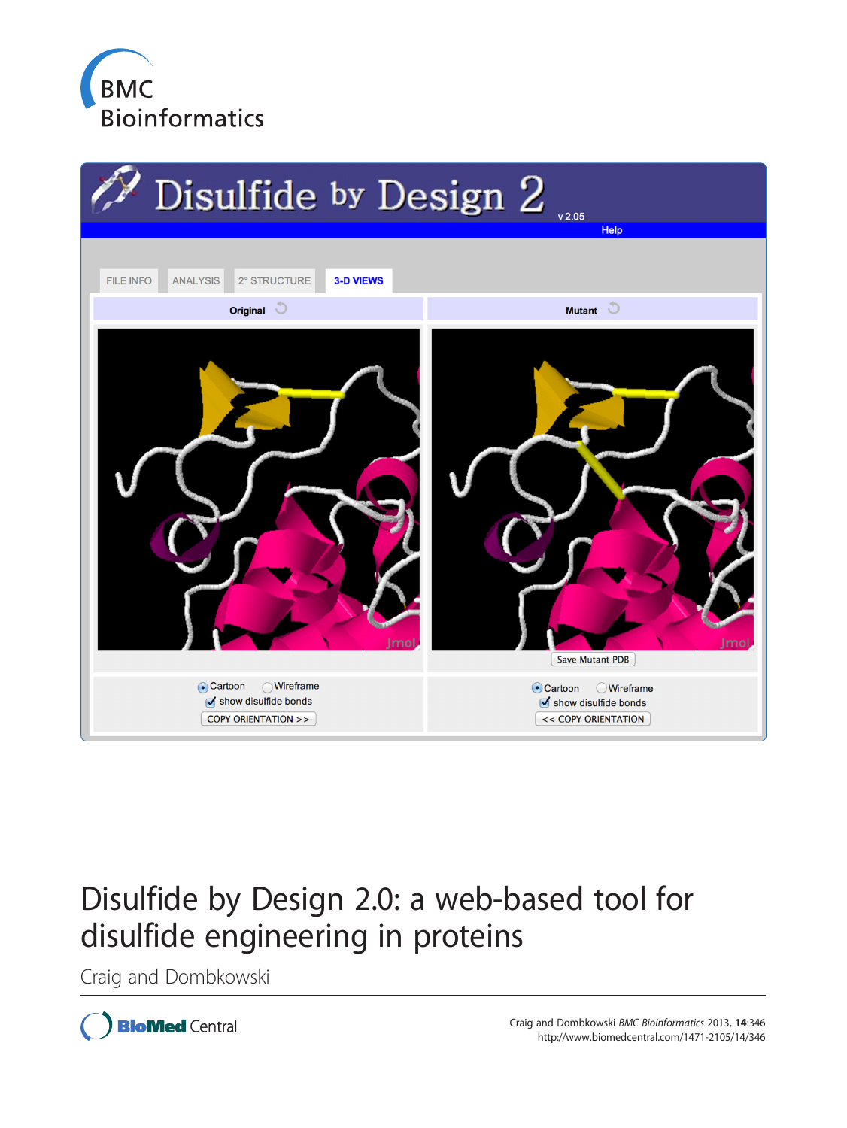



# Disulfide by Design 2.0: a web-based tool for disulfide engineering in proteins

Craig and Dombkowski

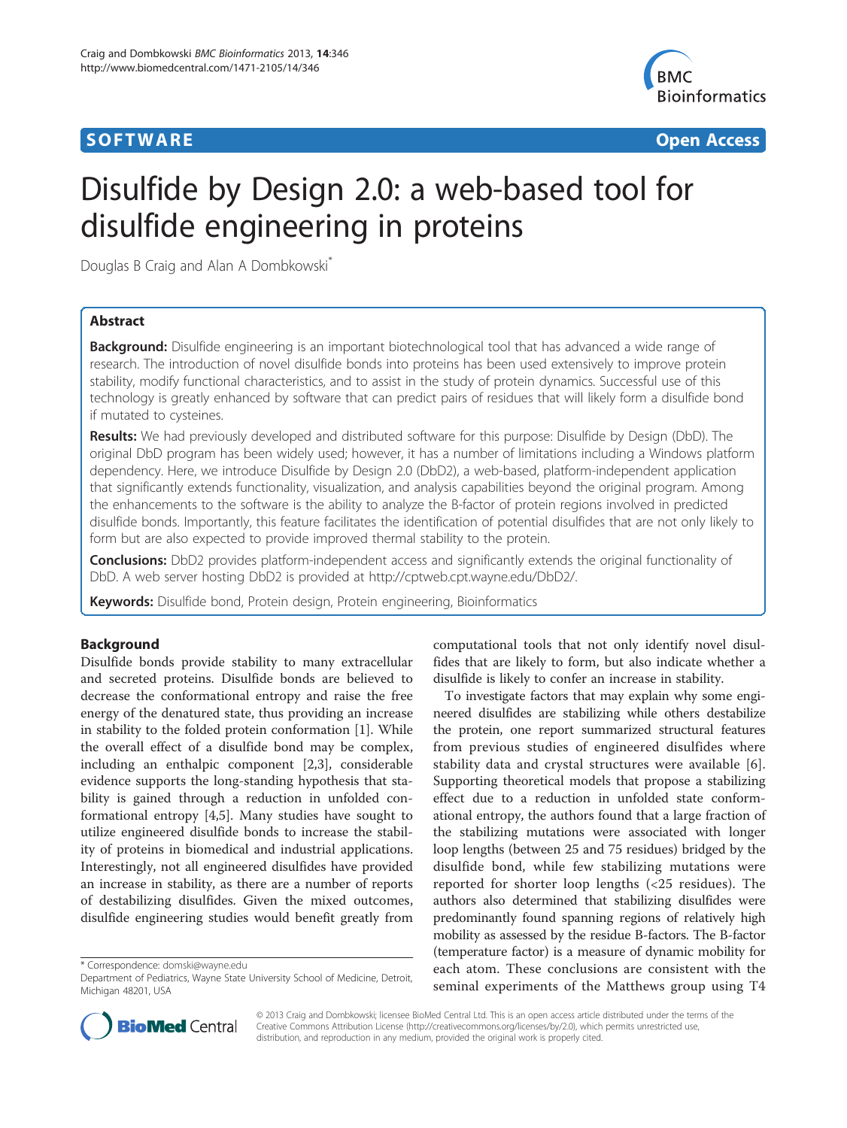# **SOFTWARE SOFTWARE** *CONSERVERSE EXECUTIVE EXECUTIVE EXECUTIVE EXECUTIVE EXECUTIVE EXECUTIVE EXECUTIVE EXECUTIVE EXECUTIVE EXECUTIVE EXECUTIVE EXECUTIVE EXECUTIVE EXECUTIVE EXECUTIVE EXECUTIVE EXECUTIVE EXECUTIVE EXECUT*



# Disulfide by Design 2.0: a web-based tool for disulfide engineering in proteins

Douglas B Craig and Alan A Dombkowski<sup>\*</sup>

# Abstract

**Background:** Disulfide engineering is an important biotechnological tool that has advanced a wide range of research. The introduction of novel disulfide bonds into proteins has been used extensively to improve protein stability, modify functional characteristics, and to assist in the study of protein dynamics. Successful use of this technology is greatly enhanced by software that can predict pairs of residues that will likely form a disulfide bond if mutated to cysteines.

Results: We had previously developed and distributed software for this purpose: Disulfide by Design (DbD). The original DbD program has been widely used; however, it has a number of limitations including a Windows platform dependency. Here, we introduce Disulfide by Design 2.0 (DbD2), a web-based, platform-independent application that significantly extends functionality, visualization, and analysis capabilities beyond the original program. Among the enhancements to the software is the ability to analyze the B-factor of protein regions involved in predicted disulfide bonds. Importantly, this feature facilitates the identification of potential disulfides that are not only likely to form but are also expected to provide improved thermal stability to the protein.

Conclusions: DbD2 provides platform-independent access and significantly extends the original functionality of DbD. A web server hosting DbD2 is provided at<http://cptweb.cpt.wayne.edu/DbD2/>.

Keywords: Disulfide bond, Protein design, Protein engineering, Bioinformatics

### Background

Disulfide bonds provide stability to many extracellular and secreted proteins. Disulfide bonds are believed to decrease the conformational entropy and raise the free energy of the denatured state, thus providing an increase in stability to the folded protein conformation [[1](#page-6-0)]. While the overall effect of a disulfide bond may be complex, including an enthalpic component [\[2,3](#page-6-0)], considerable evidence supports the long-standing hypothesis that stability is gained through a reduction in unfolded conformational entropy [[4,5\]](#page-6-0). Many studies have sought to utilize engineered disulfide bonds to increase the stability of proteins in biomedical and industrial applications. Interestingly, not all engineered disulfides have provided an increase in stability, as there are a number of reports of destabilizing disulfides. Given the mixed outcomes, disulfide engineering studies would benefit greatly from

\* Correspondence: [domski@wayne.edu](mailto:domski@wayne.edu)

computational tools that not only identify novel disulfides that are likely to form, but also indicate whether a disulfide is likely to confer an increase in stability.

To investigate factors that may explain why some engineered disulfides are stabilizing while others destabilize the protein, one report summarized structural features from previous studies of engineered disulfides where stability data and crystal structures were available [[6](#page-6-0)]. Supporting theoretical models that propose a stabilizing effect due to a reduction in unfolded state conformational entropy, the authors found that a large fraction of the stabilizing mutations were associated with longer loop lengths (between 25 and 75 residues) bridged by the disulfide bond, while few stabilizing mutations were reported for shorter loop lengths (<25 residues). The authors also determined that stabilizing disulfides were predominantly found spanning regions of relatively high mobility as assessed by the residue B-factors. The B-factor (temperature factor) is a measure of dynamic mobility for each atom. These conclusions are consistent with the seminal experiments of the Matthews group using T4



© 2013 Craig and Dombkowski; licensee BioMed Central Ltd. This is an open access article distributed under the terms of the Creative Commons Attribution License (<http://creativecommons.org/licenses/by/2.0>), which permits unrestricted use, distribution, and reproduction in any medium, provided the original work is properly cited.

Department of Pediatrics, Wayne State University School of Medicine, Detroit, Michigan 48201, USA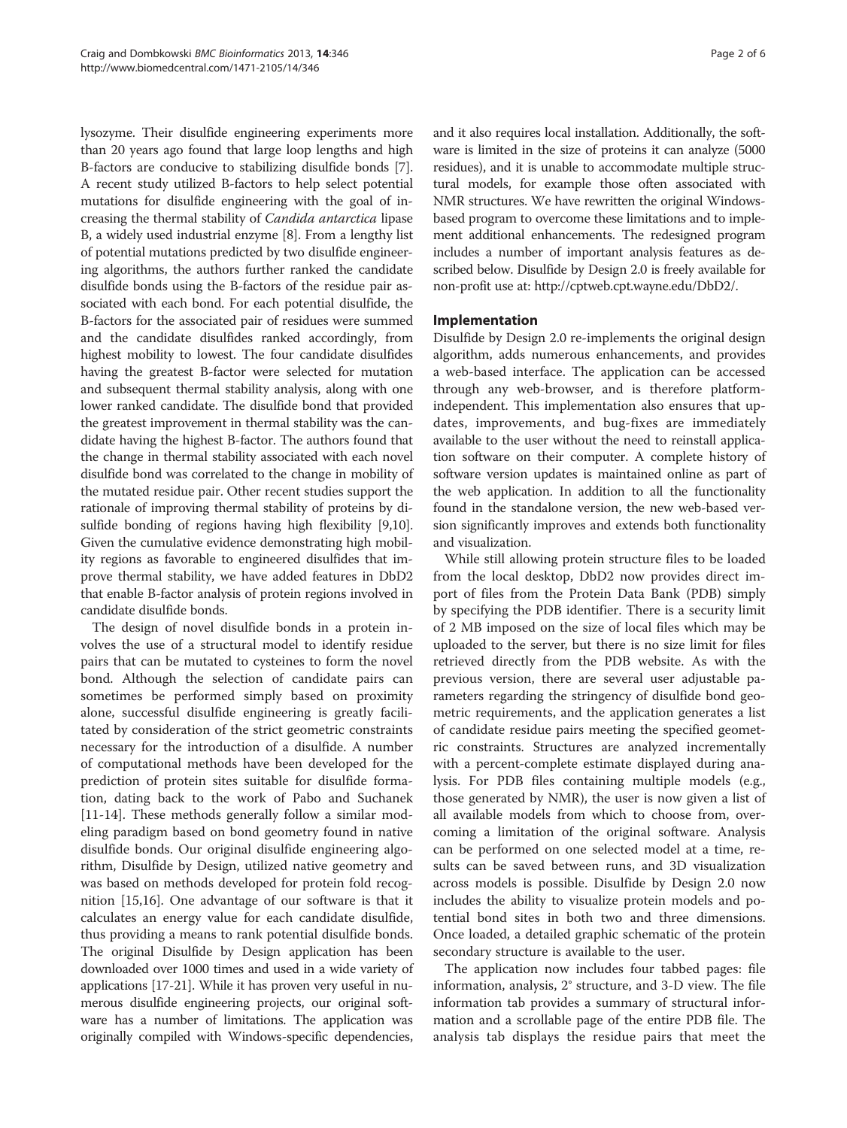lysozyme. Their disulfide engineering experiments more than 20 years ago found that large loop lengths and high B-factors are conducive to stabilizing disulfide bonds [[7](#page-6-0)]. A recent study utilized B-factors to help select potential mutations for disulfide engineering with the goal of increasing the thermal stability of Candida antarctica lipase B, a widely used industrial enzyme [[8](#page-6-0)]. From a lengthy list of potential mutations predicted by two disulfide engineering algorithms, the authors further ranked the candidate disulfide bonds using the B-factors of the residue pair associated with each bond. For each potential disulfide, the B-factors for the associated pair of residues were summed and the candidate disulfides ranked accordingly, from highest mobility to lowest. The four candidate disulfides having the greatest B-factor were selected for mutation and subsequent thermal stability analysis, along with one lower ranked candidate. The disulfide bond that provided the greatest improvement in thermal stability was the candidate having the highest B-factor. The authors found that the change in thermal stability associated with each novel disulfide bond was correlated to the change in mobility of the mutated residue pair. Other recent studies support the rationale of improving thermal stability of proteins by disulfide bonding of regions having high flexibility [[9,10](#page-6-0)]. Given the cumulative evidence demonstrating high mobility regions as favorable to engineered disulfides that improve thermal stability, we have added features in DbD2 that enable B-factor analysis of protein regions involved in candidate disulfide bonds.

The design of novel disulfide bonds in a protein involves the use of a structural model to identify residue pairs that can be mutated to cysteines to form the novel bond. Although the selection of candidate pairs can sometimes be performed simply based on proximity alone, successful disulfide engineering is greatly facilitated by consideration of the strict geometric constraints necessary for the introduction of a disulfide. A number of computational methods have been developed for the prediction of protein sites suitable for disulfide formation, dating back to the work of Pabo and Suchanek [[11-14](#page-6-0)]. These methods generally follow a similar modeling paradigm based on bond geometry found in native disulfide bonds. Our original disulfide engineering algorithm, Disulfide by Design, utilized native geometry and was based on methods developed for protein fold recognition [\[15,16\]](#page-6-0). One advantage of our software is that it calculates an energy value for each candidate disulfide, thus providing a means to rank potential disulfide bonds. The original Disulfide by Design application has been downloaded over 1000 times and used in a wide variety of applications [\[17-21\]](#page-6-0). While it has proven very useful in numerous disulfide engineering projects, our original software has a number of limitations. The application was originally compiled with Windows-specific dependencies,

and it also requires local installation. Additionally, the software is limited in the size of proteins it can analyze (5000 residues), and it is unable to accommodate multiple structural models, for example those often associated with NMR structures. We have rewritten the original Windowsbased program to overcome these limitations and to implement additional enhancements. The redesigned program includes a number of important analysis features as described below. Disulfide by Design 2.0 is freely available for non-profit use at:<http://cptweb.cpt.wayne.edu/DbD2/>.

### Implementation

Disulfide by Design 2.0 re-implements the original design algorithm, adds numerous enhancements, and provides a web-based interface. The application can be accessed through any web-browser, and is therefore platformindependent. This implementation also ensures that updates, improvements, and bug-fixes are immediately available to the user without the need to reinstall application software on their computer. A complete history of software version updates is maintained online as part of the web application. In addition to all the functionality found in the standalone version, the new web-based version significantly improves and extends both functionality and visualization.

While still allowing protein structure files to be loaded from the local desktop, DbD2 now provides direct import of files from the Protein Data Bank (PDB) simply by specifying the PDB identifier. There is a security limit of 2 MB imposed on the size of local files which may be uploaded to the server, but there is no size limit for files retrieved directly from the PDB website. As with the previous version, there are several user adjustable parameters regarding the stringency of disulfide bond geometric requirements, and the application generates a list of candidate residue pairs meeting the specified geometric constraints. Structures are analyzed incrementally with a percent-complete estimate displayed during analysis. For PDB files containing multiple models (e.g., those generated by NMR), the user is now given a list of all available models from which to choose from, overcoming a limitation of the original software. Analysis can be performed on one selected model at a time, results can be saved between runs, and 3D visualization across models is possible. Disulfide by Design 2.0 now includes the ability to visualize protein models and potential bond sites in both two and three dimensions. Once loaded, a detailed graphic schematic of the protein secondary structure is available to the user.

The application now includes four tabbed pages: file information, analysis, 2° structure, and 3-D view. The file information tab provides a summary of structural information and a scrollable page of the entire PDB file. The analysis tab displays the residue pairs that meet the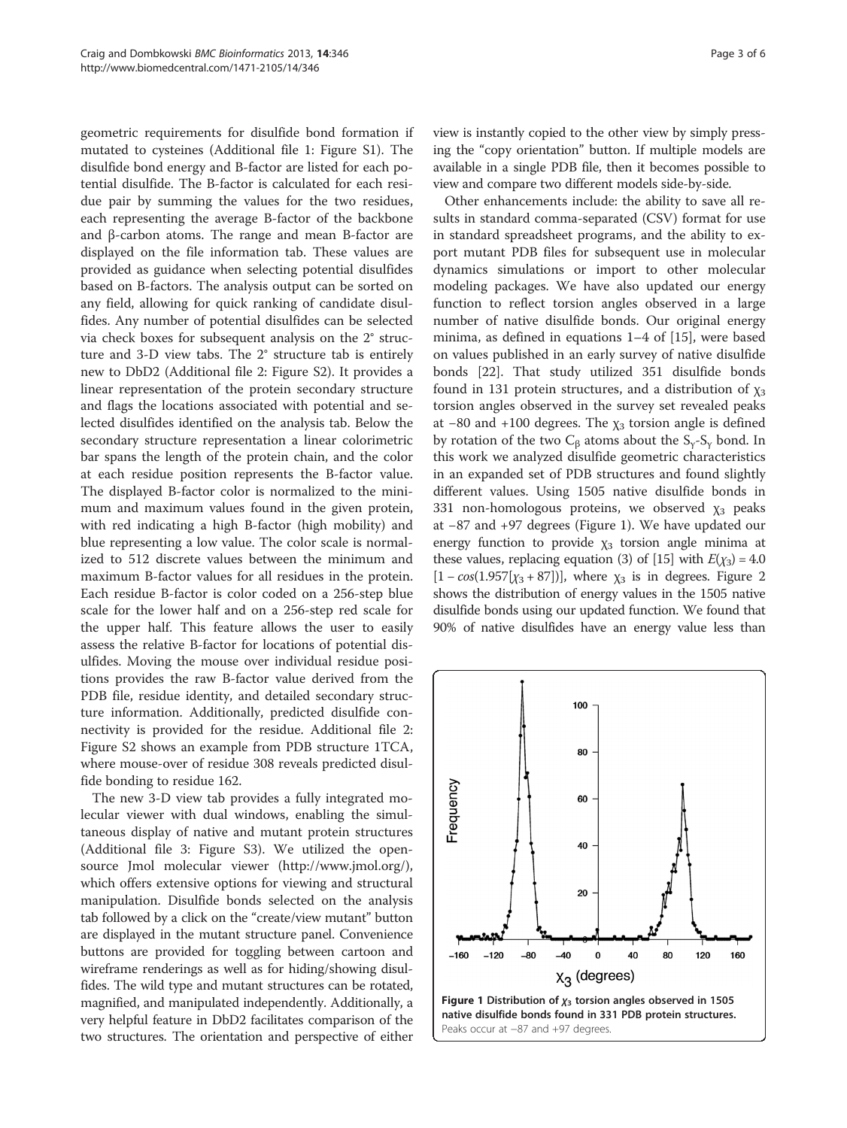geometric requirements for disulfide bond formation if mutated to cysteines (Additional file [1](#page-6-0): Figure S1). The disulfide bond energy and B-factor are listed for each potential disulfide. The B-factor is calculated for each residue pair by summing the values for the two residues, each representing the average B-factor of the backbone and β-carbon atoms. The range and mean B-factor are displayed on the file information tab. These values are provided as guidance when selecting potential disulfides based on B-factors. The analysis output can be sorted on any field, allowing for quick ranking of candidate disulfides. Any number of potential disulfides can be selected via check boxes for subsequent analysis on the 2° structure and 3-D view tabs. The 2° structure tab is entirely new to DbD2 (Additional file [2:](#page-6-0) Figure S2). It provides a linear representation of the protein secondary structure and flags the locations associated with potential and selected disulfides identified on the analysis tab. Below the secondary structure representation a linear colorimetric bar spans the length of the protein chain, and the color at each residue position represents the B-factor value. The displayed B-factor color is normalized to the minimum and maximum values found in the given protein, with red indicating a high B-factor (high mobility) and blue representing a low value. The color scale is normalized to 512 discrete values between the minimum and maximum B-factor values for all residues in the protein. Each residue B-factor is color coded on a 256-step blue scale for the lower half and on a 256-step red scale for the upper half. This feature allows the user to easily assess the relative B-factor for locations of potential disulfides. Moving the mouse over individual residue positions provides the raw B-factor value derived from the PDB file, residue identity, and detailed secondary structure information. Additionally, predicted disulfide connectivity is provided for the residue. Additional file [2](#page-6-0): Figure S2 shows an example from PDB structure 1TCA, where mouse-over of residue 308 reveals predicted disulfide bonding to residue 162.

The new 3-D view tab provides a fully integrated molecular viewer with dual windows, enabling the simultaneous display of native and mutant protein structures (Additional file [3:](#page-6-0) Figure S3). We utilized the opensource Jmol molecular viewer (<http://www.jmol.org/>), which offers extensive options for viewing and structural manipulation. Disulfide bonds selected on the analysis tab followed by a click on the "create/view mutant" button are displayed in the mutant structure panel. Convenience buttons are provided for toggling between cartoon and wireframe renderings as well as for hiding/showing disulfides. The wild type and mutant structures can be rotated, magnified, and manipulated independently. Additionally, a very helpful feature in DbD2 facilitates comparison of the two structures. The orientation and perspective of either

view is instantly copied to the other view by simply pressing the "copy orientation" button. If multiple models are available in a single PDB file, then it becomes possible to view and compare two different models side-by-side.

Other enhancements include: the ability to save all results in standard comma-separated (CSV) format for use in standard spreadsheet programs, and the ability to export mutant PDB files for subsequent use in molecular dynamics simulations or import to other molecular modeling packages. We have also updated our energy function to reflect torsion angles observed in a large number of native disulfide bonds. Our original energy minima, as defined in equations 1–4 of [\[15](#page-6-0)], were based on values published in an early survey of native disulfide bonds [\[22\]](#page-6-0). That study utilized 351 disulfide bonds found in 131 protein structures, and a distribution of  $\chi_3$ torsion angles observed in the survey set revealed peaks at  $-80$  and  $+100$  degrees. The  $\chi_3$  torsion angle is defined by rotation of the two  $C_\beta$  atoms about the  $S_\gamma$ - $S_\gamma$  bond. In this work we analyzed disulfide geometric characteristics in an expanded set of PDB structures and found slightly different values. Using 1505 native disulfide bonds in 331 non-homologous proteins, we observed  $\chi_3$  peaks at −87 and +97 degrees (Figure 1). We have updated our energy function to provide  $\chi_3$  torsion angle minima at these values, replacing equation (3) of [\[15](#page-6-0)] with  $E(\chi_3) = 4.0$  $[1 - cos(1.957[\chi_3 + 87])]$ , where  $\chi_3$  is in degrees. Figure [2](#page-4-0) shows the distribution of energy values in the 1505 native disulfide bonds using our updated function. We found that 90% of native disulfides have an energy value less than

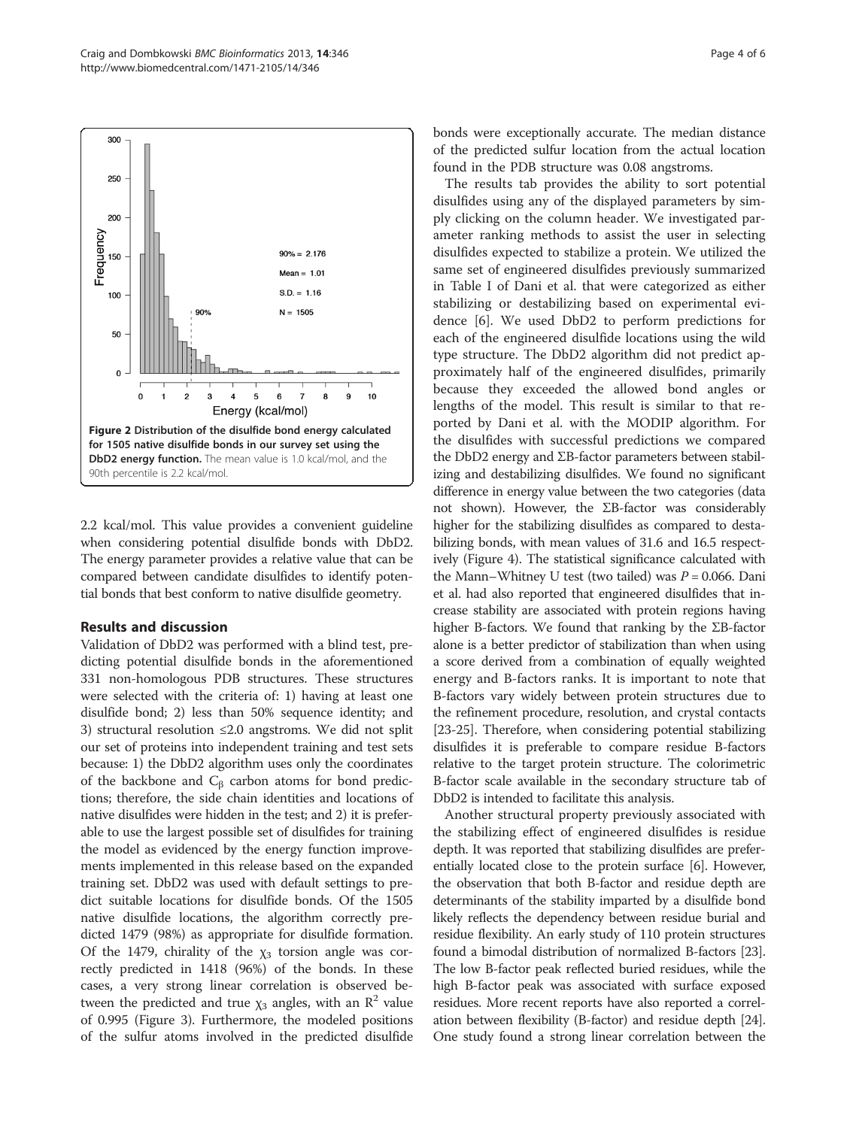<span id="page-4-0"></span>

2.2 kcal/mol. This value provides a convenient guideline when considering potential disulfide bonds with DbD2. The energy parameter provides a relative value that can be compared between candidate disulfides to identify potential bonds that best conform to native disulfide geometry.

#### Results and discussion

Validation of DbD2 was performed with a blind test, predicting potential disulfide bonds in the aforementioned 331 non-homologous PDB structures. These structures were selected with the criteria of: 1) having at least one disulfide bond; 2) less than 50% sequence identity; and 3) structural resolution ≤2.0 angstroms. We did not split our set of proteins into independent training and test sets because: 1) the DbD2 algorithm uses only the coordinates of the backbone and  $C_\beta$  carbon atoms for bond predictions; therefore, the side chain identities and locations of native disulfides were hidden in the test; and 2) it is preferable to use the largest possible set of disulfides for training the model as evidenced by the energy function improvements implemented in this release based on the expanded training set. DbD2 was used with default settings to predict suitable locations for disulfide bonds. Of the 1505 native disulfide locations, the algorithm correctly predicted 1479 (98%) as appropriate for disulfide formation. Of the 1479, chirality of the  $\chi_3$  torsion angle was correctly predicted in 1418 (96%) of the bonds. In these cases, a very strong linear correlation is observed between the predicted and true  $\chi_3$  angles, with an  $\mathbb{R}^2$  value of 0.995 (Figure [3](#page-5-0)). Furthermore, the modeled positions of the sulfur atoms involved in the predicted disulfide

bonds were exceptionally accurate. The median distance of the predicted sulfur location from the actual location found in the PDB structure was 0.08 angstroms.

The results tab provides the ability to sort potential disulfides using any of the displayed parameters by simply clicking on the column header. We investigated parameter ranking methods to assist the user in selecting disulfides expected to stabilize a protein. We utilized the same set of engineered disulfides previously summarized in Table I of Dani et al. that were categorized as either stabilizing or destabilizing based on experimental evidence [[6\]](#page-6-0). We used DbD2 to perform predictions for each of the engineered disulfide locations using the wild type structure. The DbD2 algorithm did not predict approximately half of the engineered disulfides, primarily because they exceeded the allowed bond angles or lengths of the model. This result is similar to that reported by Dani et al. with the MODIP algorithm. For the disulfides with successful predictions we compared the DbD2 energy and ΣB-factor parameters between stabilizing and destabilizing disulfides. We found no significant difference in energy value between the two categories (data not shown). However, the ΣB-factor was considerably higher for the stabilizing disulfides as compared to destabilizing bonds, with mean values of 31.6 and 16.5 respectively (Figure [4\)](#page-5-0). The statistical significance calculated with the Mann–Whitney U test (two tailed) was  $P = 0.066$ . Dani et al. had also reported that engineered disulfides that increase stability are associated with protein regions having higher B-factors. We found that ranking by the ΣB-factor alone is a better predictor of stabilization than when using a score derived from a combination of equally weighted energy and B-factors ranks. It is important to note that B-factors vary widely between protein structures due to the refinement procedure, resolution, and crystal contacts [[23](#page-6-0)-[25\]](#page-6-0). Therefore, when considering potential stabilizing disulfides it is preferable to compare residue B-factors relative to the target protein structure. The colorimetric B-factor scale available in the secondary structure tab of DbD2 is intended to facilitate this analysis.

Another structural property previously associated with the stabilizing effect of engineered disulfides is residue depth. It was reported that stabilizing disulfides are preferentially located close to the protein surface [[6\]](#page-6-0). However, the observation that both B-factor and residue depth are determinants of the stability imparted by a disulfide bond likely reflects the dependency between residue burial and residue flexibility. An early study of 110 protein structures found a bimodal distribution of normalized B-factors [\[23](#page-6-0)]. The low B-factor peak reflected buried residues, while the high B-factor peak was associated with surface exposed residues. More recent reports have also reported a correlation between flexibility (B-factor) and residue depth [\[24](#page-6-0)]. One study found a strong linear correlation between the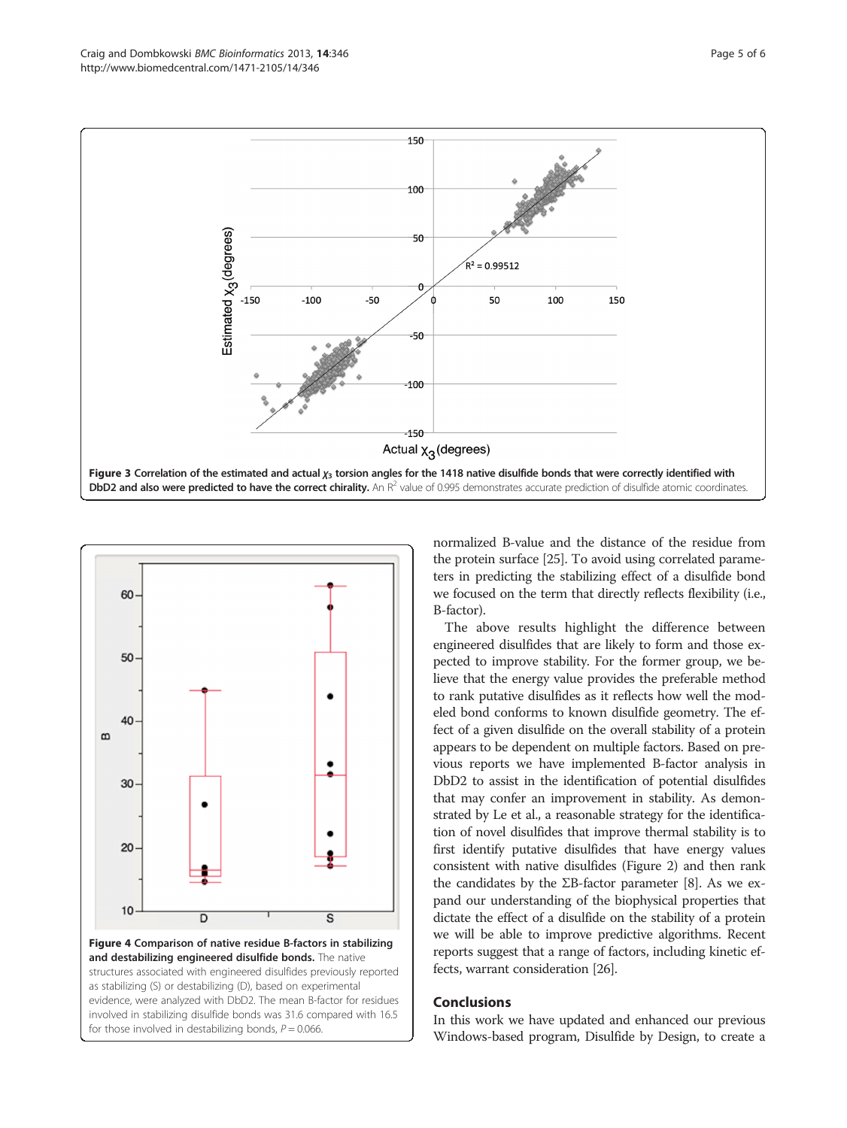<span id="page-5-0"></span>



and destabilizing engineered disulfide bonds. The native structures associated with engineered disulfides previously reported as stabilizing (S) or destabilizing (D), based on experimental evidence, were analyzed with DbD2. The mean B-factor for residues involved in stabilizing disulfide bonds was 31.6 compared with 16.5 for those involved in destabilizing bonds,  $P = 0.066$ .

normalized B-value and the distance of the residue from the protein surface [[25](#page-6-0)]. To avoid using correlated parameters in predicting the stabilizing effect of a disulfide bond we focused on the term that directly reflects flexibility (i.e., B-factor).

The above results highlight the difference between engineered disulfides that are likely to form and those expected to improve stability. For the former group, we believe that the energy value provides the preferable method to rank putative disulfides as it reflects how well the modeled bond conforms to known disulfide geometry. The effect of a given disulfide on the overall stability of a protein appears to be dependent on multiple factors. Based on previous reports we have implemented B-factor analysis in DbD2 to assist in the identification of potential disulfides that may confer an improvement in stability. As demonstrated by Le et al., a reasonable strategy for the identification of novel disulfides that improve thermal stability is to first identify putative disulfides that have energy values consistent with native disulfides (Figure [2\)](#page-4-0) and then rank the candidates by the ΣB-factor parameter [[8](#page-6-0)]. As we expand our understanding of the biophysical properties that dictate the effect of a disulfide on the stability of a protein we will be able to improve predictive algorithms. Recent reports suggest that a range of factors, including kinetic effects, warrant consideration [[26](#page-6-0)].

## Conclusions

In this work we have updated and enhanced our previous Windows-based program, Disulfide by Design, to create a